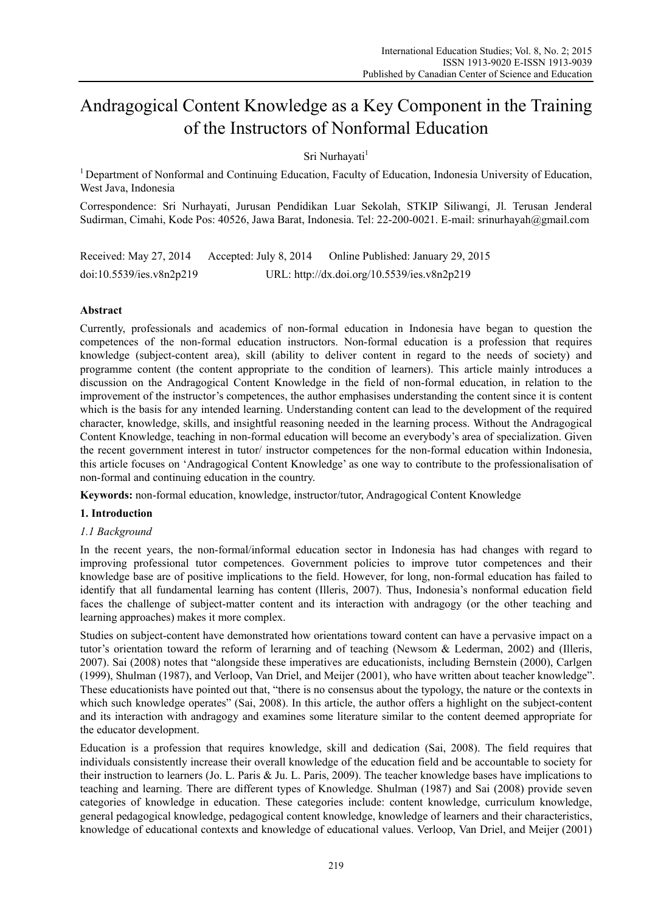# Andragogical Content Knowledge as a Key Component in the Training of the Instructors of Nonformal Education

Sri Nurhayati<sup>1</sup>

1 Department of Nonformal and Continuing Education, Faculty of Education, Indonesia University of Education, West Java, Indonesia

Correspondence: Sri Nurhayati, Jurusan Pendidikan Luar Sekolah, STKIP Siliwangi, Jl. Terusan Jenderal Sudirman, Cimahi, Kode Pos: 40526, Jawa Barat, Indonesia. Tel: 22-200-0021. E-mail: srinurhayah@gmail.com

Received: May 27, 2014 Accepted: July 8, 2014 Online Published: January 29, 2015 doi:10.5539/ies.v8n2p219 URL: http://dx.doi.org/10.5539/ies.v8n2p219

## **Abstract**

Currently, professionals and academics of non-formal education in Indonesia have began to question the competences of the non-formal education instructors. Non-formal education is a profession that requires knowledge (subject-content area), skill (ability to deliver content in regard to the needs of society) and programme content (the content appropriate to the condition of learners). This article mainly introduces a discussion on the Andragogical Content Knowledge in the field of non-formal education, in relation to the improvement of the instructor's competences, the author emphasises understanding the content since it is content which is the basis for any intended learning. Understanding content can lead to the development of the required character, knowledge, skills, and insightful reasoning needed in the learning process. Without the Andragogical Content Knowledge, teaching in non-formal education will become an everybody's area of specialization. Given the recent government interest in tutor/ instructor competences for the non-formal education within Indonesia, this article focuses on 'Andragogical Content Knowledge' as one way to contribute to the professionalisation of non-formal and continuing education in the country.

**Keywords:** non-formal education, knowledge, instructor/tutor, Andragogical Content Knowledge

### **1. Introduction**

### *1.1 Background*

In the recent years, the non-formal/informal education sector in Indonesia has had changes with regard to improving professional tutor competences. Government policies to improve tutor competences and their knowledge base are of positive implications to the field. However, for long, non-formal education has failed to identify that all fundamental learning has content (Illeris, 2007). Thus, Indonesia's nonformal education field faces the challenge of subject-matter content and its interaction with andragogy (or the other teaching and learning approaches) makes it more complex.

Studies on subject-content have demonstrated how orientations toward content can have a pervasive impact on a tutor's orientation toward the reform of lerarning and of teaching (Newsom & Lederman, 2002) and (Illeris, 2007). Sai (2008) notes that "alongside these imperatives are educationists, including Bernstein (2000), Carlgen (1999), Shulman (1987), and Verloop, Van Driel, and Meijer (2001), who have written about teacher knowledge". These educationists have pointed out that, "there is no consensus about the typology, the nature or the contexts in which such knowledge operates" (Sai, 2008). In this article, the author offers a highlight on the subject-content and its interaction with andragogy and examines some literature similar to the content deemed appropriate for the educator development.

Education is a profession that requires knowledge, skill and dedication (Sai, 2008). The field requires that individuals consistently increase their overall knowledge of the education field and be accountable to society for their instruction to learners (Jo. L. Paris & Ju. L. Paris, 2009). The teacher knowledge bases have implications to teaching and learning. There are different types of Knowledge. Shulman (1987) and Sai (2008) provide seven categories of knowledge in education. These categories include: content knowledge, curriculum knowledge, general pedagogical knowledge, pedagogical content knowledge, knowledge of learners and their characteristics, knowledge of educational contexts and knowledge of educational values. Verloop, Van Driel, and Meijer (2001)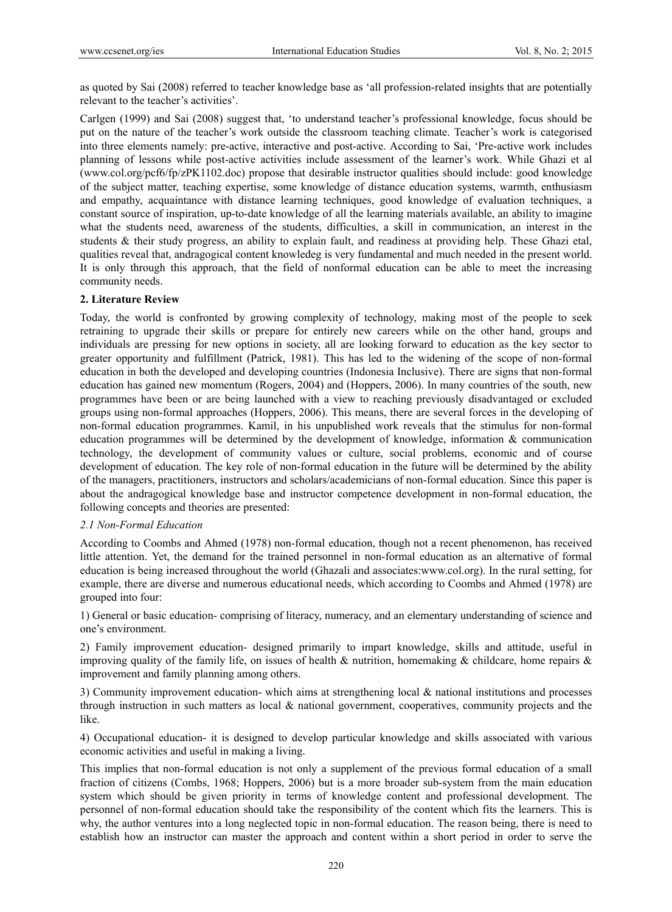as quoted by Sai (2008) referred to teacher knowledge base as 'all profession-related insights that are potentially relevant to the teacher's activities'.

Carlgen (1999) and Sai (2008) suggest that, 'to understand teacher's professional knowledge, focus should be put on the nature of the teacher's work outside the classroom teaching climate. Teacher's work is categorised into three elements namely: pre-active, interactive and post-active. According to Sai, 'Pre-active work includes planning of lessons while post-active activities include assessment of the learner's work. While Ghazi et al (www.col.org/pcf6/fp/zPK1102.doc) propose that desirable instructor qualities should include: good knowledge of the subject matter, teaching expertise, some knowledge of distance education systems, warmth, enthusiasm and empathy, acquaintance with distance learning techniques, good knowledge of evaluation techniques, a constant source of inspiration, up-to-date knowledge of all the learning materials available, an ability to imagine what the students need, awareness of the students, difficulties, a skill in communication, an interest in the students & their study progress, an ability to explain fault, and readiness at providing help. These Ghazi etal, qualities reveal that, andragogical content knowledeg is very fundamental and much needed in the present world. It is only through this approach, that the field of nonformal education can be able to meet the increasing community needs.

### **2. Literature Review**

Today, the world is confronted by growing complexity of technology, making most of the people to seek retraining to upgrade their skills or prepare for entirely new careers while on the other hand, groups and individuals are pressing for new options in society, all are looking forward to education as the key sector to greater opportunity and fulfillment (Patrick, 1981). This has led to the widening of the scope of non-formal education in both the developed and developing countries (Indonesia Inclusive). There are signs that non-formal education has gained new momentum (Rogers, 2004) and (Hoppers, 2006). In many countries of the south, new programmes have been or are being launched with a view to reaching previously disadvantaged or excluded groups using non-formal approaches (Hoppers, 2006). This means, there are several forces in the developing of non-formal education programmes. Kamil, in his unpublished work reveals that the stimulus for non-formal education programmes will be determined by the development of knowledge, information & communication technology, the development of community values or culture, social problems, economic and of course development of education. The key role of non-formal education in the future will be determined by the ability of the managers, practitioners, instructors and scholars/academicians of non-formal education. Since this paper is about the andragogical knowledge base and instructor competence development in non-formal education, the following concepts and theories are presented:

#### *2.1 Non-Formal Education*

According to Coombs and Ahmed (1978) non-formal education, though not a recent phenomenon, has received little attention. Yet, the demand for the trained personnel in non-formal education as an alternative of formal education is being increased throughout the world (Ghazali and associates:www.col.org). In the rural setting, for example, there are diverse and numerous educational needs, which according to Coombs and Ahmed (1978) are grouped into four:

1) General or basic education- comprising of literacy, numeracy, and an elementary understanding of science and one's environment.

2) Family improvement education- designed primarily to impart knowledge, skills and attitude, useful in improving quality of the family life, on issues of health  $\&$  nutrition, homemaking  $\&$  childcare, home repairs  $\&$ improvement and family planning among others.

3) Community improvement education- which aims at strengthening local & national institutions and processes through instruction in such matters as local & national government, cooperatives, community projects and the like.

4) Occupational education- it is designed to develop particular knowledge and skills associated with various economic activities and useful in making a living.

This implies that non-formal education is not only a supplement of the previous formal education of a small fraction of citizens (Combs, 1968; Hoppers, 2006) but is a more broader sub-system from the main education system which should be given priority in terms of knowledge content and professional development. The personnel of non-formal education should take the responsibility of the content which fits the learners. This is why, the author ventures into a long neglected topic in non-formal education. The reason being, there is need to establish how an instructor can master the approach and content within a short period in order to serve the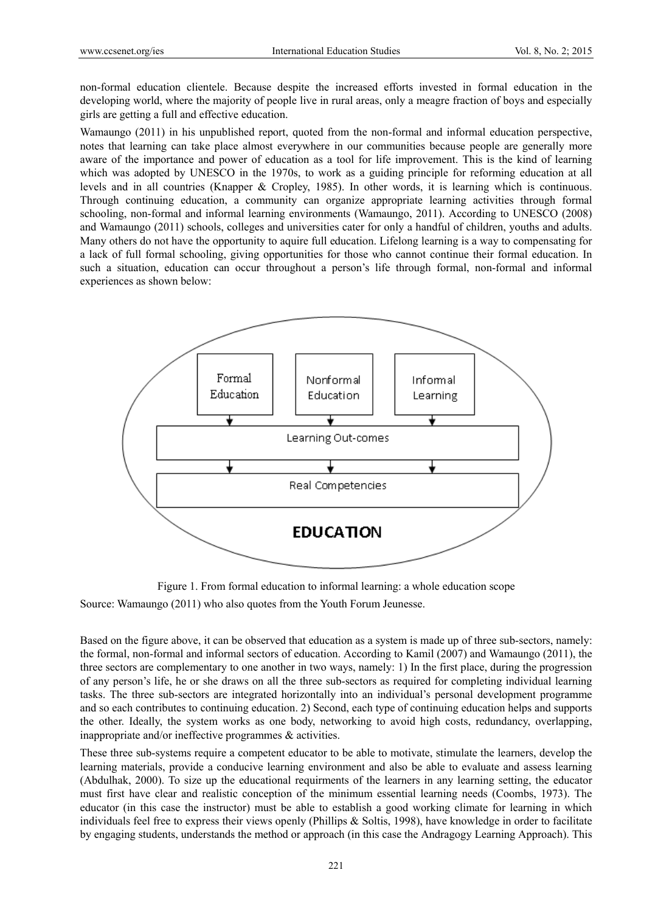non-formal education clientele. Because despite the increased efforts invested in formal education in the developing world, where the majority of people live in rural areas, only a meagre fraction of boys and especially girls are getting a full and effective education.

Wamaungo (2011) in his unpublished report, quoted from the non-formal and informal education perspective, notes that learning can take place almost everywhere in our communities because people are generally more aware of the importance and power of education as a tool for life improvement. This is the kind of learning which was adopted by UNESCO in the 1970s, to work as a guiding principle for reforming education at all levels and in all countries (Knapper & Cropley, 1985). In other words, it is learning which is continuous. Through continuing education, a community can organize appropriate learning activities through formal schooling, non-formal and informal learning environments (Wamaungo, 2011). According to UNESCO (2008) and Wamaungo (2011) schools, colleges and universities cater for only a handful of children, youths and adults. Many others do not have the opportunity to aquire full education. Lifelong learning is a way to compensating for a lack of full formal schooling, giving opportunities for those who cannot continue their formal education. In such a situation, education can occur throughout a person's life through formal, non-formal and informal experiences as shown below:



Figure 1. From formal education to informal learning: a whole education scope

Source: Wamaungo (2011) who also quotes from the Youth Forum Jeunesse.

Based on the figure above, it can be observed that education as a system is made up of three sub-sectors, namely: the formal, non-formal and informal sectors of education. According to Kamil (2007) and Wamaungo (2011), the three sectors are complementary to one another in two ways, namely: 1) In the first place, during the progression of any person's life, he or she draws on all the three sub-sectors as required for completing individual learning tasks. The three sub-sectors are integrated horizontally into an individual's personal development programme and so each contributes to continuing education. 2) Second, each type of continuing education helps and supports the other. Ideally, the system works as one body, networking to avoid high costs, redundancy, overlapping, inappropriate and/or ineffective programmes & activities.

These three sub-systems require a competent educator to be able to motivate, stimulate the learners, develop the learning materials, provide a conducive learning environment and also be able to evaluate and assess learning (Abdulhak, 2000). To size up the educational requirments of the learners in any learning setting, the educator must first have clear and realistic conception of the minimum essential learning needs (Coombs, 1973). The educator (in this case the instructor) must be able to establish a good working climate for learning in which individuals feel free to express their views openly (Phillips & Soltis, 1998), have knowledge in order to facilitate by engaging students, understands the method or approach (in this case the Andragogy Learning Approach). This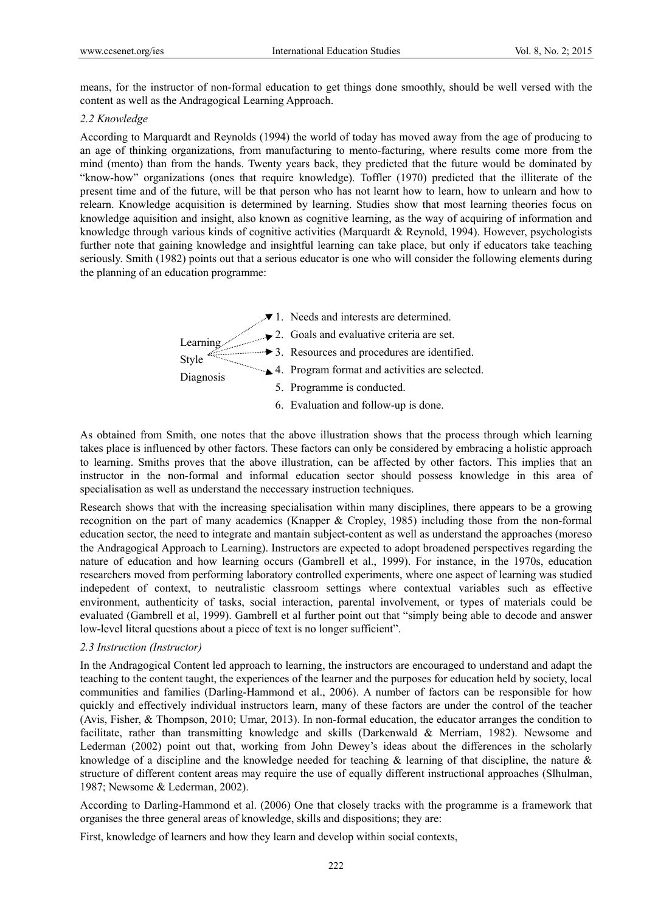means, for the instructor of non-formal education to get things done smoothly, should be well versed with the content as well as the Andragogical Learning Approach.

### *2.2 Knowledge*

According to Marquardt and Reynolds (1994) the world of today has moved away from the age of producing to an age of thinking organizations, from manufacturing to mento-facturing, where results come more from the mind (mento) than from the hands. Twenty years back, they predicted that the future would be dominated by "know-how" organizations (ones that require knowledge). Toffler (1970) predicted that the illiterate of the present time and of the future, will be that person who has not learnt how to learn, how to unlearn and how to relearn. Knowledge acquisition is determined by learning. Studies show that most learning theories focus on knowledge aquisition and insight, also known as cognitive learning, as the way of acquiring of information and knowledge through various kinds of cognitive activities (Marquardt & Reynold, 1994). However, psychologists further note that gaining knowledge and insightful learning can take place, but only if educators take teaching seriously. Smith (1982) points out that a serious educator is one who will consider the following elements during the planning of an education programme:



As obtained from Smith, one notes that the above illustration shows that the process through which learning takes place is influenced by other factors. These factors can only be considered by embracing a holistic approach to learning. Smiths proves that the above illustration, can be affected by other factors. This implies that an instructor in the non-formal and informal education sector should possess knowledge in this area of specialisation as well as understand the neccessary instruction techniques.

Research shows that with the increasing specialisation within many disciplines, there appears to be a growing recognition on the part of many academics (Knapper & Cropley, 1985) including those from the non-formal education sector, the need to integrate and mantain subject-content as well as understand the approaches (moreso the Andragogical Approach to Learning). Instructors are expected to adopt broadened perspectives regarding the nature of education and how learning occurs (Gambrell et al., 1999). For instance, in the 1970s, education researchers moved from performing laboratory controlled experiments, where one aspect of learning was studied indepedent of context, to neutralistic classroom settings where contextual variables such as effective environment, authenticity of tasks, social interaction, parental involvement, or types of materials could be evaluated (Gambrell et al, 1999). Gambrell et al further point out that "simply being able to decode and answer low-level literal questions about a piece of text is no longer sufficient".

### *2.3 Instruction (Instructor)*

In the Andragogical Content led approach to learning, the instructors are encouraged to understand and adapt the teaching to the content taught, the experiences of the learner and the purposes for education held by society, local communities and families (Darling-Hammond et al., 2006). A number of factors can be responsible for how quickly and effectively individual instructors learn, many of these factors are under the control of the teacher (Avis, Fisher, & Thompson, 2010; Umar, 2013). In non-formal education, the educator arranges the condition to facilitate, rather than transmitting knowledge and skills (Darkenwald & Merriam, 1982). Newsome and Lederman (2002) point out that, working from John Dewey's ideas about the differences in the scholarly knowledge of a discipline and the knowledge needed for teaching  $\&$  learning of that discipline, the nature  $\&$ structure of different content areas may require the use of equally different instructional approaches (Slhulman, 1987; Newsome & Lederman, 2002).

According to Darling-Hammond et al. (2006) One that closely tracks with the programme is a framework that organises the three general areas of knowledge, skills and dispositions; they are:

First, knowledge of learners and how they learn and develop within social contexts,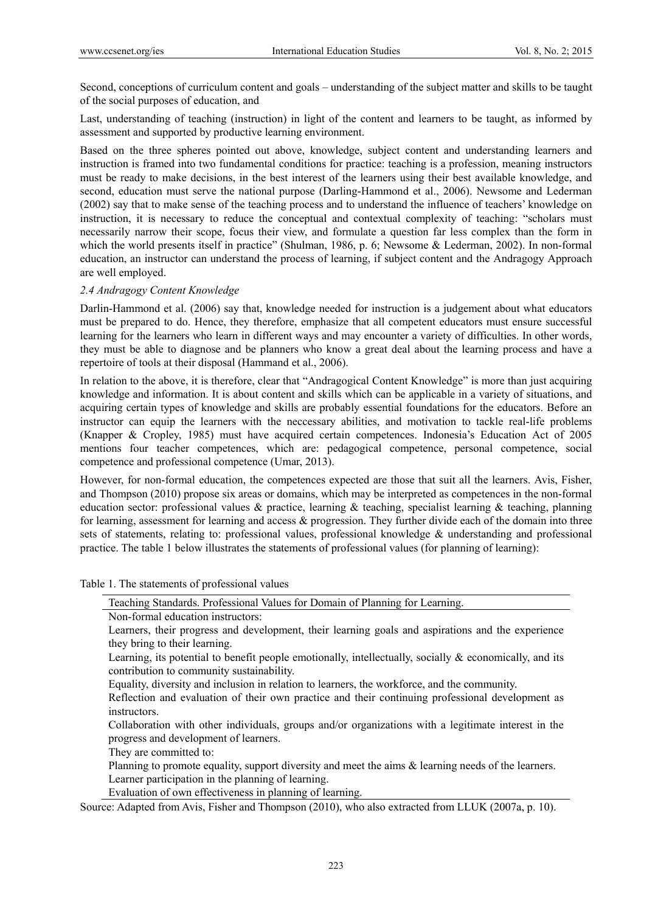Second, conceptions of curriculum content and goals – understanding of the subject matter and skills to be taught of the social purposes of education, and

Last, understanding of teaching (instruction) in light of the content and learners to be taught, as informed by assessment and supported by productive learning environment.

Based on the three spheres pointed out above, knowledge, subject content and understanding learners and instruction is framed into two fundamental conditions for practice: teaching is a profession, meaning instructors must be ready to make decisions, in the best interest of the learners using their best available knowledge, and second, education must serve the national purpose (Darling-Hammond et al., 2006). Newsome and Lederman (2002) say that to make sense of the teaching process and to understand the influence of teachers' knowledge on instruction, it is necessary to reduce the conceptual and contextual complexity of teaching: "scholars must necessarily narrow their scope, focus their view, and formulate a question far less complex than the form in which the world presents itself in practice" (Shulman, 1986, p. 6; Newsome & Lederman, 2002). In non-formal education, an instructor can understand the process of learning, if subject content and the Andragogy Approach are well employed.

### *2.4 Andragogy Content Knowledge*

Darlin-Hammond et al. (2006) say that, knowledge needed for instruction is a judgement about what educators must be prepared to do. Hence, they therefore, emphasize that all competent educators must ensure successful learning for the learners who learn in different ways and may encounter a variety of difficulties. In other words, they must be able to diagnose and be planners who know a great deal about the learning process and have a repertoire of tools at their disposal (Hammand et al., 2006).

In relation to the above, it is therefore, clear that "Andragogical Content Knowledge" is more than just acquiring knowledge and information. It is about content and skills which can be applicable in a variety of situations, and acquiring certain types of knowledge and skills are probably essential foundations for the educators. Before an instructor can equip the learners with the neccessary abilities, and motivation to tackle real-life problems (Knapper & Cropley, 1985) must have acquired certain competences. Indonesia's Education Act of 2005 mentions four teacher competences, which are: pedagogical competence, personal competence, social competence and professional competence (Umar, 2013).

However, for non-formal education, the competences expected are those that suit all the learners. Avis, Fisher, and Thompson (2010) propose six areas or domains, which may be interpreted as competences in the non-formal education sector: professional values & practice, learning & teaching, specialist learning & teaching, planning for learning, assessment for learning and access  $\&$  progression. They further divide each of the domain into three sets of statements, relating to: professional values, professional knowledge & understanding and professional practice. The table 1 below illustrates the statements of professional values (for planning of learning):

Table 1. The statements of professional values

| Teaching Standards. Professional Values for Domain of Planning for Learning. |                                                                                              |  |
|------------------------------------------------------------------------------|----------------------------------------------------------------------------------------------|--|
|                                                                              | Non-formal education instructors:                                                            |  |
|                                                                              | Legrners, their progress and development their learning goals and sepirations and the evper- |  |

Learners, their progress and development, their learning goals and aspirations and the experience they bring to their learning.

Learning, its potential to benefit people emotionally, intellectually, socially & economically, and its contribution to community sustainability.

Equality, diversity and inclusion in relation to learners, the workforce, and the community.

Reflection and evaluation of their own practice and their continuing professional development as instructors.

Collaboration with other individuals, groups and/or organizations with a legitimate interest in the progress and development of learners.

They are committed to:

Planning to promote equality, support diversity and meet the aims  $\&$  learning needs of the learners. Learner participation in the planning of learning.

Evaluation of own effectiveness in planning of learning.

Source: Adapted from Avis, Fisher and Thompson (2010), who also extracted from LLUK (2007a, p. 10).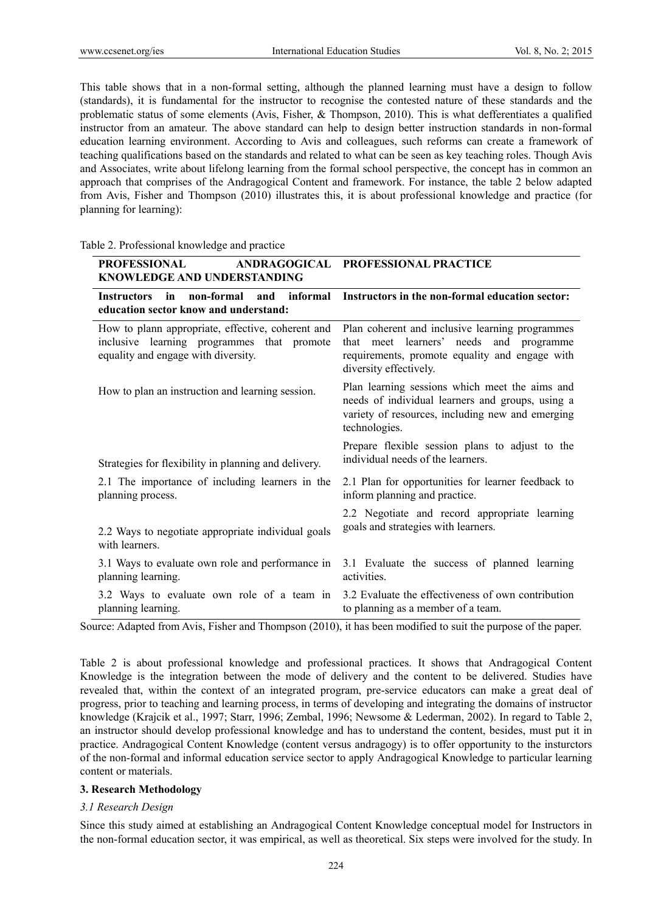This table shows that in a non-formal setting, although the planned learning must have a design to follow (standards), it is fundamental for the instructor to recognise the contested nature of these standards and the problematic status of some elements (Avis, Fisher, & Thompson, 2010). This is what defferentiates a qualified instructor from an amateur. The above standard can help to design better instruction standards in non-formal education learning environment. According to Avis and colleagues, such reforms can create a framework of teaching qualifications based on the standards and related to what can be seen as key teaching roles. Though Avis and Associates, write about lifelong learning from the formal school perspective, the concept has in common an approach that comprises of the Andragogical Content and framework. For instance, the table 2 below adapted from Avis, Fisher and Thompson (2010) illustrates this, it is about professional knowledge and practice (for planning for learning):

Table 2. Professional knowledge and practice

| <b>PROFESSIONAL</b><br>KNOWLEDGE AND UNDERSTANDING                                                                                     | ANDRAGOGICAL PROFESSIONAL PRACTICE                                                                                                                                      |
|----------------------------------------------------------------------------------------------------------------------------------------|-------------------------------------------------------------------------------------------------------------------------------------------------------------------------|
| non-formal<br>informal<br>in<br>and<br><b>Instructors</b><br>education sector know and understand:                                     | Instructors in the non-formal education sector:                                                                                                                         |
| How to plann appropriate, effective, coherent and<br>inclusive learning programmes that promote<br>equality and engage with diversity. | Plan coherent and inclusive learning programmes<br>that meet learners' needs and programme<br>requirements, promote equality and engage with<br>diversity effectively.  |
| How to plan an instruction and learning session.                                                                                       | Plan learning sessions which meet the aims and<br>needs of individual learners and groups, using a<br>variety of resources, including new and emerging<br>technologies. |
| Strategies for flexibility in planning and delivery.                                                                                   | Prepare flexible session plans to adjust to the<br>individual needs of the learners.                                                                                    |
| 2.1 The importance of including learners in the<br>planning process.                                                                   | 2.1 Plan for opportunities for learner feedback to<br>inform planning and practice.                                                                                     |
| 2.2 Ways to negotiate appropriate individual goals<br>with learners.                                                                   | 2.2 Negotiate and record appropriate learning<br>goals and strategies with learners.                                                                                    |
| 3.1 Ways to evaluate own role and performance in<br>planning learning.                                                                 | 3.1 Evaluate the success of planned learning<br>activities.                                                                                                             |
| 3.2 Ways to evaluate own role of a team in<br>planning learning.                                                                       | 3.2 Evaluate the effectiveness of own contribution<br>to planning as a member of a team.                                                                                |

Source: Adapted from Avis, Fisher and Thompson (2010), it has been modified to suit the purpose of the paper.

Table 2 is about professional knowledge and professional practices. It shows that Andragogical Content Knowledge is the integration between the mode of delivery and the content to be delivered. Studies have revealed that, within the context of an integrated program, pre-service educators can make a great deal of progress, prior to teaching and learning process, in terms of developing and integrating the domains of instructor knowledge (Krajcik et al., 1997; Starr, 1996; Zembal, 1996; Newsome & Lederman, 2002). In regard to Table 2, an instructor should develop professional knowledge and has to understand the content, besides, must put it in practice. Andragogical Content Knowledge (content versus andragogy) is to offer opportunity to the insturctors of the non-formal and informal education service sector to apply Andragogical Knowledge to particular learning content or materials.

### **3. Research Methodology**

### *3.1 Research Design*

Since this study aimed at establishing an Andragogical Content Knowledge conceptual model for Instructors in the non-formal education sector, it was empirical, as well as theoretical. Six steps were involved for the study. In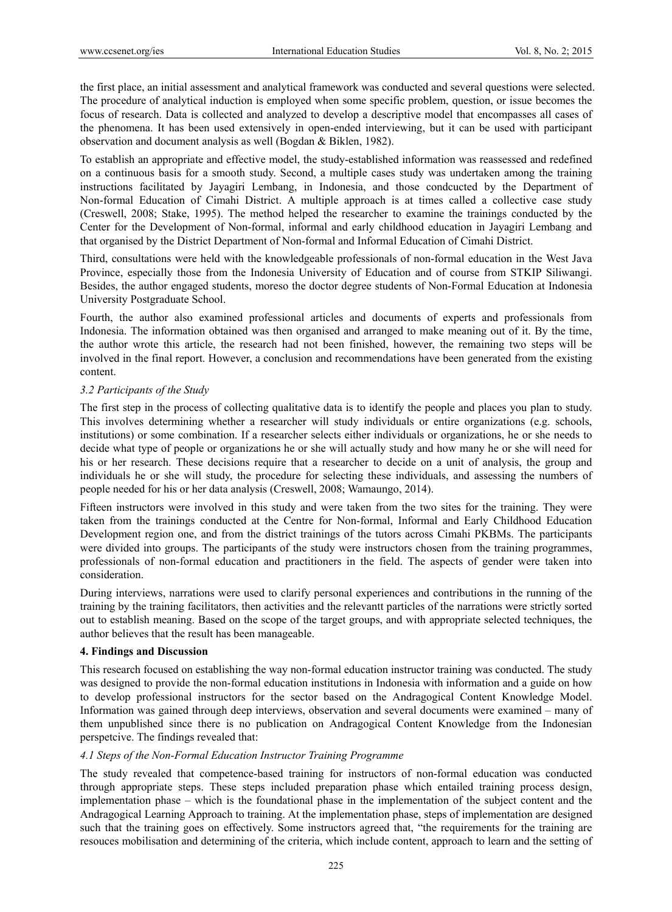the first place, an initial assessment and analytical framework was conducted and several questions were selected. The procedure of analytical induction is employed when some specific problem, question, or issue becomes the focus of research. Data is collected and analyzed to develop a descriptive model that encompasses all cases of the phenomena. It has been used extensively in open-ended interviewing, but it can be used with participant observation and document analysis as well (Bogdan & Biklen, 1982).

To establish an appropriate and effective model, the study-established information was reassessed and redefined on a continuous basis for a smooth study. Second, a multiple cases study was undertaken among the training instructions facilitated by Jayagiri Lembang, in Indonesia, and those condcucted by the Department of Non-formal Education of Cimahi District. A multiple approach is at times called a collective case study (Creswell, 2008; Stake, 1995). The method helped the researcher to examine the trainings conducted by the Center for the Development of Non-formal, informal and early childhood education in Jayagiri Lembang and that organised by the District Department of Non-formal and Informal Education of Cimahi District.

Third, consultations were held with the knowledgeable professionals of non-formal education in the West Java Province, especially those from the Indonesia University of Education and of course from STKIP Siliwangi. Besides, the author engaged students, moreso the doctor degree students of Non-Formal Education at Indonesia University Postgraduate School.

Fourth, the author also examined professional articles and documents of experts and professionals from Indonesia. The information obtained was then organised and arranged to make meaning out of it. By the time, the author wrote this article, the research had not been finished, however, the remaining two steps will be involved in the final report. However, a conclusion and recommendations have been generated from the existing content.

## *3.2 Participants of the Study*

The first step in the process of collecting qualitative data is to identify the people and places you plan to study. This involves determining whether a researcher will study individuals or entire organizations (e.g. schools, institutions) or some combination. If a researcher selects either individuals or organizations, he or she needs to decide what type of people or organizations he or she will actually study and how many he or she will need for his or her research. These decisions require that a researcher to decide on a unit of analysis, the group and individuals he or she will study, the procedure for selecting these individuals, and assessing the numbers of people needed for his or her data analysis (Creswell, 2008; Wamaungo, 2014).

Fifteen instructors were involved in this study and were taken from the two sites for the training. They were taken from the trainings conducted at the Centre for Non-formal, Informal and Early Childhood Education Development region one, and from the district trainings of the tutors across Cimahi PKBMs. The participants were divided into groups. The participants of the study were instructors chosen from the training programmes, professionals of non-formal education and practitioners in the field. The aspects of gender were taken into consideration.

During interviews, narrations were used to clarify personal experiences and contributions in the running of the training by the training facilitators, then activities and the relevantt particles of the narrations were strictly sorted out to establish meaning. Based on the scope of the target groups, and with appropriate selected techniques, the author believes that the result has been manageable.

### **4. Findings and Discussion**

This research focused on establishing the way non-formal education instructor training was conducted. The study was designed to provide the non-formal education institutions in Indonesia with information and a guide on how to develop professional instructors for the sector based on the Andragogical Content Knowledge Model. Information was gained through deep interviews, observation and several documents were examined – many of them unpublished since there is no publication on Andragogical Content Knowledge from the Indonesian perspetcive. The findings revealed that:

### *4.1 Steps of the Non-Formal Education Instructor Training Programme*

The study revealed that competence-based training for instructors of non-formal education was conducted through appropriate steps. These steps included preparation phase which entailed training process design, implementation phase – which is the foundational phase in the implementation of the subject content and the Andragogical Learning Approach to training. At the implementation phase, steps of implementation are designed such that the training goes on effectively. Some instructors agreed that, "the requirements for the training are resouces mobilisation and determining of the criteria, which include content, approach to learn and the setting of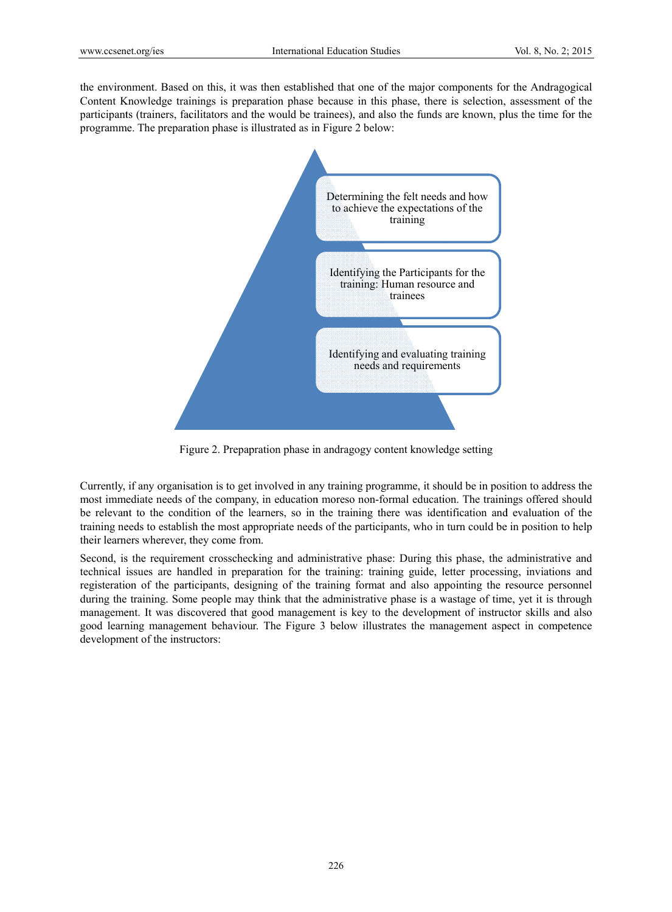the environment. Based on this, it was then established that one of the major components for the Andragogical Content Knowledge trainings is preparation phase because in this phase, there is selection, assessment of the participants (trainers, facilitators and the would be trainees), and also the funds are known, plus the time for the programme. The preparation phase is illustrated as in Figure 2 below:



Figure 2. Prepapration phase in andragogy content knowledge setting

Currently, if any organisation is to get involved in any training programme, it should be in position to address the most immediate needs of the company, in education moreso non-formal education. The trainings offered should be relevant to the condition of the learners, so in the training there was identification and evaluation of the training needs to establish the most appropriate needs of the participants, who in turn could be in position to help their learners wherever, they come from.

Second, is the requirement crosschecking and administrative phase: During this phase, the administrative and technical issues are handled in preparation for the training: training guide, letter processing, inviations and registeration of the participants, designing of the training format and also appointing the resource personnel during the training. Some people may think that the administrative phase is a wastage of time, yet it is through management. It was discovered that good management is key to the development of instructor skills and also good learning management behaviour. The Figure 3 below illustrates the management aspect in competence development of the instructors: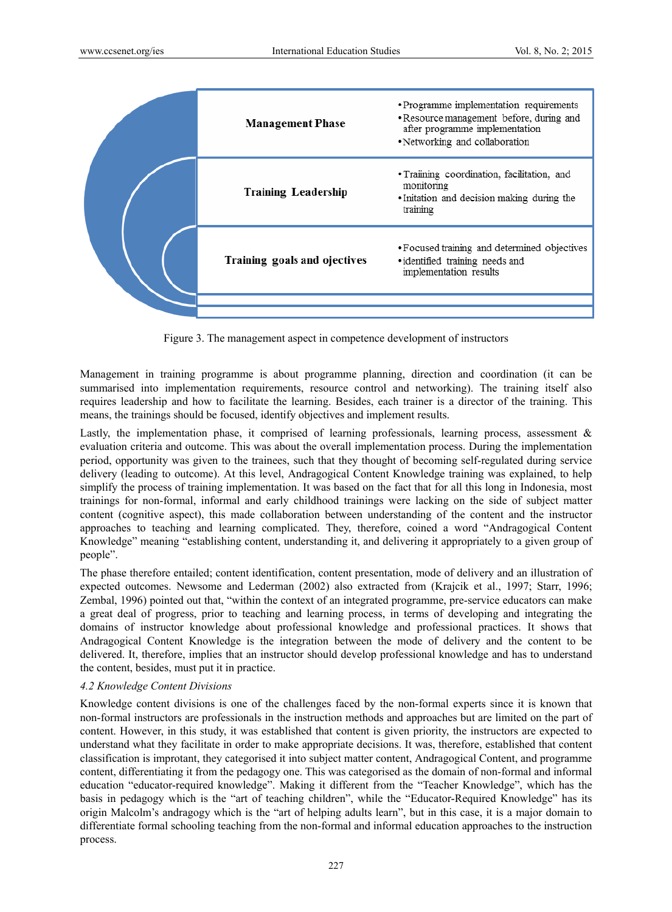

Figure 3. The management aspect in competence development of instructors

Management in training programme is about programme planning, direction and coordination (it can be summarised into implementation requirements, resource control and networking). The training itself also requires leadership and how to facilitate the learning. Besides, each trainer is a director of the training. This means, the trainings should be focused, identify objectives and implement results.

Lastly, the implementation phase, it comprised of learning professionals, learning process, assessment & evaluation criteria and outcome. This was about the overall implementation process. During the implementation period, opportunity was given to the trainees, such that they thought of becoming self-regulated during service delivery (leading to outcome). At this level, Andragogical Content Knowledge training was explained, to help simplify the process of training implementation. It was based on the fact that for all this long in Indonesia, most trainings for non-formal, informal and early childhood trainings were lacking on the side of subject matter content (cognitive aspect), this made collaboration between understanding of the content and the instructor approaches to teaching and learning complicated. They, therefore, coined a word "Andragogical Content Knowledge" meaning "establishing content, understanding it, and delivering it appropriately to a given group of people".

The phase therefore entailed; content identification, content presentation, mode of delivery and an illustration of expected outcomes. Newsome and Lederman (2002) also extracted from (Krajcik et al., 1997; Starr, 1996; Zembal, 1996) pointed out that, "within the context of an integrated programme, pre-service educators can make a great deal of progress, prior to teaching and learning process, in terms of developing and integrating the domains of instructor knowledge about professional knowledge and professional practices. It shows that Andragogical Content Knowledge is the integration between the mode of delivery and the content to be delivered. It, therefore, implies that an instructor should develop professional knowledge and has to understand the content, besides, must put it in practice.

### *4.2 Knowledge Content Divisions*

Knowledge content divisions is one of the challenges faced by the non-formal experts since it is known that non-formal instructors are professionals in the instruction methods and approaches but are limited on the part of content. However, in this study, it was established that content is given priority, the instructors are expected to understand what they facilitate in order to make appropriate decisions. It was, therefore, established that content classification is improtant, they categorised it into subject matter content, Andragogical Content, and programme content, differentiating it from the pedagogy one. This was categorised as the domain of non-formal and informal education "educator-required knowledge". Making it different from the "Teacher Knowledge", which has the basis in pedagogy which is the "art of teaching children", while the "Educator-Required Knowledge" has its origin Malcolm's andragogy which is the "art of helping adults learn", but in this case, it is a major domain to differentiate formal schooling teaching from the non-formal and informal education approaches to the instruction process.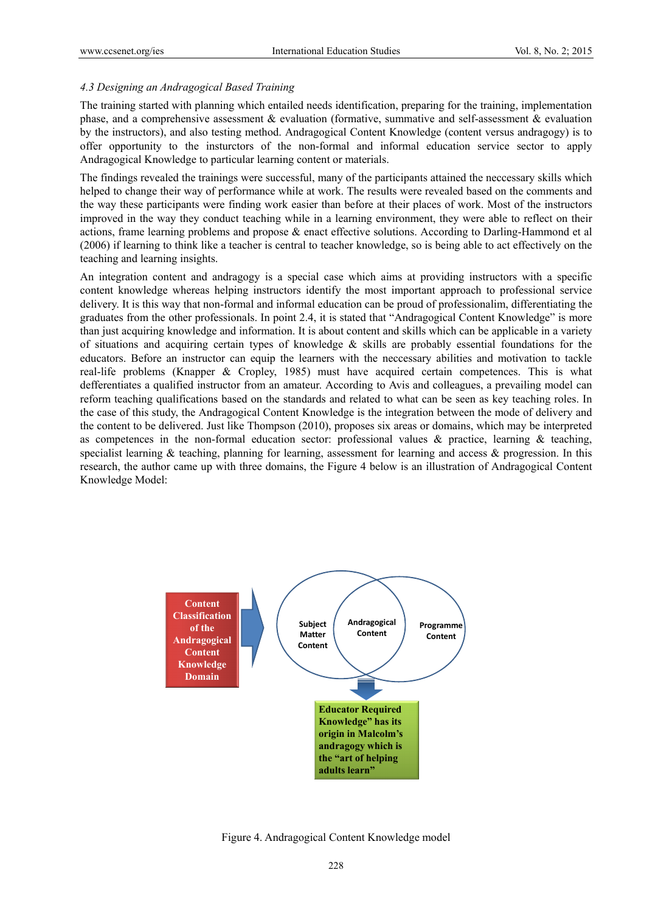### *4.3 Designing an Andragogical Based Training*

The training started with planning which entailed needs identification, preparing for the training, implementation phase, and a comprehensive assessment & evaluation (formative, summative and self-assessment & evaluation by the instructors), and also testing method. Andragogical Content Knowledge (content versus andragogy) is to offer opportunity to the insturctors of the non-formal and informal education service sector to apply Andragogical Knowledge to particular learning content or materials.

The findings revealed the trainings were successful, many of the participants attained the neccessary skills which helped to change their way of performance while at work. The results were revealed based on the comments and the way these participants were finding work easier than before at their places of work. Most of the instructors improved in the way they conduct teaching while in a learning environment, they were able to reflect on their actions, frame learning problems and propose & enact effective solutions. According to Darling-Hammond et al (2006) if learning to think like a teacher is central to teacher knowledge, so is being able to act effectively on the teaching and learning insights.

An integration content and andragogy is a special case which aims at providing instructors with a specific content knowledge whereas helping instructors identify the most important approach to professional service delivery. It is this way that non-formal and informal education can be proud of professionalim, differentiating the graduates from the other professionals. In point 2.4, it is stated that "Andragogical Content Knowledge" is more than just acquiring knowledge and information. It is about content and skills which can be applicable in a variety of situations and acquiring certain types of knowledge  $\&$  skills are probably essential foundations for the educators. Before an instructor can equip the learners with the neccessary abilities and motivation to tackle real-life problems (Knapper & Cropley, 1985) must have acquired certain competences. This is what defferentiates a qualified instructor from an amateur. According to Avis and colleagues, a prevailing model can reform teaching qualifications based on the standards and related to what can be seen as key teaching roles. In the case of this study, the Andragogical Content Knowledge is the integration between the mode of delivery and the content to be delivered. Just like Thompson (2010), proposes six areas or domains, which may be interpreted as competences in the non-formal education sector: professional values & practice, learning & teaching, specialist learning  $\&$  teaching, planning for learning, assessment for learning and access  $\&$  progression. In this research, the author came up with three domains, the Figure 4 below is an illustration of Andragogical Content Knowledge Model:



Figure 4. Andragogical Content Knowledge model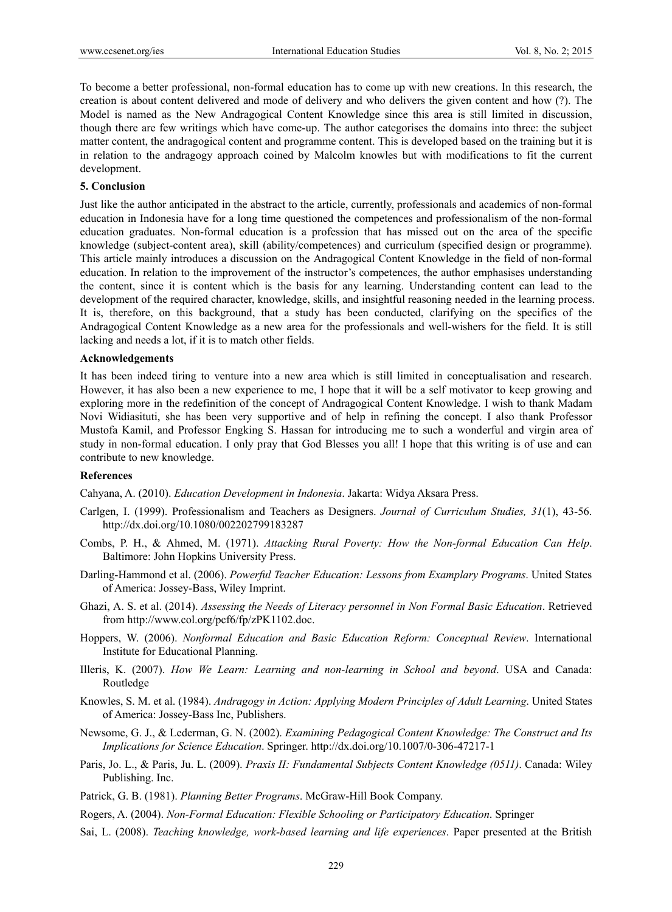To become a better professional, non-formal education has to come up with new creations. In this research, the creation is about content delivered and mode of delivery and who delivers the given content and how (?). The Model is named as the New Andragogical Content Knowledge since this area is still limited in discussion, though there are few writings which have come-up. The author categorises the domains into three: the subject matter content, the andragogical content and programme content. This is developed based on the training but it is in relation to the andragogy approach coined by Malcolm knowles but with modifications to fit the current development.

#### **5. Conclusion**

Just like the author anticipated in the abstract to the article, currently, professionals and academics of non-formal education in Indonesia have for a long time questioned the competences and professionalism of the non-formal education graduates. Non-formal education is a profession that has missed out on the area of the specific knowledge (subject-content area), skill (ability/competences) and curriculum (specified design or programme). This article mainly introduces a discussion on the Andragogical Content Knowledge in the field of non-formal education. In relation to the improvement of the instructor's competences, the author emphasises understanding the content, since it is content which is the basis for any learning. Understanding content can lead to the development of the required character, knowledge, skills, and insightful reasoning needed in the learning process. It is, therefore, on this background, that a study has been conducted, clarifying on the specifics of the Andragogical Content Knowledge as a new area for the professionals and well-wishers for the field. It is still lacking and needs a lot, if it is to match other fields.

### **Acknowledgements**

It has been indeed tiring to venture into a new area which is still limited in conceptualisation and research. However, it has also been a new experience to me, I hope that it will be a self motivator to keep growing and exploring more in the redefinition of the concept of Andragogical Content Knowledge. I wish to thank Madam Novi Widiasituti, she has been very supportive and of help in refining the concept. I also thank Professor Mustofa Kamil, and Professor Engking S. Hassan for introducing me to such a wonderful and virgin area of study in non-formal education. I only pray that God Blesses you all! I hope that this writing is of use and can contribute to new knowledge.

#### **References**

Cahyana, A. (2010). *Education Development in Indonesia*. Jakarta: Widya Aksara Press.

- Carlgen, I. (1999). Professionalism and Teachers as Designers. *Journal of Curriculum Studies, 31*(1), 43-56. http://dx.doi.org/10.1080/002202799183287
- Combs, P. H., & Ahmed, M. (1971). *Attacking Rural Poverty: How the Non-formal Education Can Help*. Baltimore: John Hopkins University Press.
- Darling-Hammond et al. (2006). *Powerful Teacher Education: Lessons from Examplary Programs*. United States of America: Jossey-Bass, Wiley Imprint.
- Ghazi, A. S. et al. (2014). *Assessing the Needs of Literacy personnel in Non Formal Basic Education*. Retrieved from http://www.col.org/pcf6/fp/zPK1102.doc.
- Hoppers, W. (2006). *Nonformal Education and Basic Education Reform: Conceptual Review*. International Institute for Educational Planning.
- Illeris, K. (2007). *How We Learn: Learning and non-learning in School and beyond*. USA and Canada: Routledge
- Knowles, S. M. et al. (1984). *Andragogy in Action: Applying Modern Principles of Adult Learning*. United States of America: Jossey-Bass Inc, Publishers.
- Newsome, G. J., & Lederman, G. N. (2002). *Examining Pedagogical Content Knowledge: The Construct and Its Implications for Science Education*. Springer. http://dx.doi.org/10.1007/0-306-47217-1
- Paris, Jo. L., & Paris, Ju. L. (2009). *Praxis II: Fundamental Subjects Content Knowledge (0511)*. Canada: Wiley Publishing. Inc.
- Patrick, G. B. (1981). *Planning Better Programs*. McGraw-Hill Book Company.
- Rogers, A. (2004). *Non-Formal Education: Flexible Schooling or Participatory Education*. Springer
- Sai, L. (2008). *Teaching knowledge, work-based learning and life experiences*. Paper presented at the British